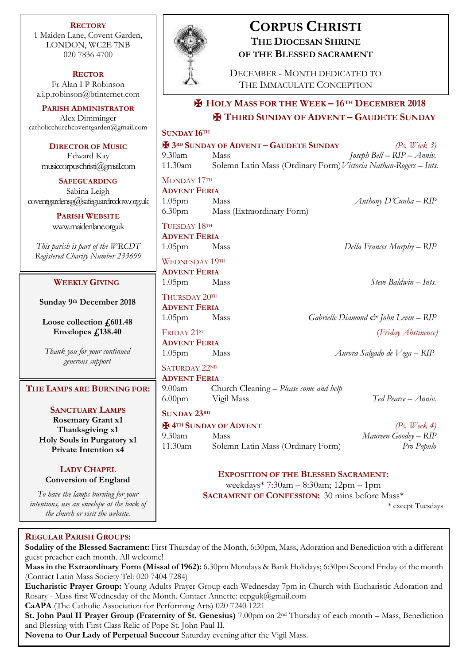**RECTORY** 1 Maiden Lane, Covent Garden, LONDON, WC2E 7NB 020 7836 4700

**RECTOR** Fr Alan I P Robinson [a.i.p.robinson@btinternet.com](mailto:a.i.p.robinson@btinternet.com)

**PARISH ADMINISTRATOR** Alex Dimminger [catholicchurchcoventgarden@gmail.com](mailto:catholicchurchcoventgarden@gmail.com)

**DIRECTOR OF MUSIC** Edward Kay musiccorpuschristi@gmail.com

**SAFEGUARDING** Sabina Leigh [coventgardensg@safeguardrcdow.org.uk](mailto:coventgardensg@safeguardrcdow.org.uk)

> **PARISH WEBSITE** [www.maidenlane.org.uk](http://www.maidenlane.org.uk/)

*This parish is part of the WRCDT Registered Charity Number 233699*

## **WEEKLY GIVING**

**Sunday 9 th December 2018**

**Loose collection £601.48 Envelopes £138.40**

*Thank you for your continued generous support*

**THE LAMPS ARE BURNING FOR:**

## **SANCTUARY LAMPS Rosemary Grant x1 Thanksgiving x1 Holy Souls in Purgatory x1 Private Intention x4**

# **LADY CHAPEL**

**Conversion of England**

*To have the lamps burning for your intentions, use an envelope at the back of the church or visit the website.*



# **CORPUS CHRISTI THE DIOCESAN SHRINE OF THE BLESSED SACRAMENT**

DECEMBER - MONTH DEDICATED TO THE IMMACULATE CONCEPTION

# ✠ **HOLY MASS FOR THE WEEK – 16TH DECEMBER 2018** ✠ **THIRD SUNDAY OF ADVENT – GAUDETE SUNDAY**

| SUNDAY 16TH                                     |                                                                  |                               |
|-------------------------------------------------|------------------------------------------------------------------|-------------------------------|
| <b>EX 3RD SUNDAY OF ADVENT - GAUDETE SUNDAY</b> |                                                                  | $(Ps, \textit{Week } 3)$      |
| 9.30am                                          | Mass                                                             | Joseph Bell – $RIP - A$ nniv. |
| 11.30am                                         | Solemn Latin Mass (Ordinary Form) Victoria Nathan-Rogers - Ints. |                               |
| MONDAY 17TH                                     |                                                                  |                               |

**ADVENT FERIA** 1.05pm Mass *Anthony D'Cunha – RIP* 6.30pm Mass (Extraordinary Form)

TUESDAY 18TH **ADVENT FERIA**

WEDNESDAY 19TH

**ADVENT FERIA** 1.05pm Mass *Steve Baldwin – Ints.*

THURSDAY 20TH **ADVENT FERIA**

**ADVENT FERIA**

SATURDAY 22ND **ADVENT FERIA**

9.00am Church Cleaning – *Please come and help* 6.00pm Vigil Mass *Ted Pearce – Anniv.*

**SUNDAY 23RD**

✠ **4TH SUNDAY OF ADVENT** *(Ps. Week 4)*

9.30am Mass *Maureen Goodey – RIP* 11.30am Solemn Latin Mass (Ordinary Form) *Pro Populo*

**EXPOSITION OF THE BLESSED SACRAMENT:** weekdays\* 7:30am – 8:30am; 12pm – 1pm

**SACRAMENT OF CONFESSION:** 30 mins before Mass\*

\* except Tuesdays

## **REGULAR PARISH GROUPS:**

**Sodality of the Blessed Sacrament:** First Thursday of the Month, 6:30pm, Mass, Adoration and Benediction with a different guest preacher each month. All welcome!

**Mass in the Extraordinary Form (Missal of 1962):** 6.30pm Mondays & Bank Holidays; 6:30pm Second Friday of the month (Contact Latin Mass Society Tel: 020 7404 7284)

**Eucharistic Prayer Group:** Young Adults Prayer Group each Wednesday 7pm in Church with Eucharistic Adoration and Rosary - Mass first Wednesday of the Month. Contact Annette: ccpguk@gmail.com

**CaAPA** (The Catholic Association for Performing Arts) 020 7240 1221

**St. John Paul II Prayer Group (Fraternity of St. Genesius)** 7.00pm on 2nd Thursday of each month – Mass, Benediction and Blessing with First Class Relic of Pope St. John Paul II.

**Novena to Our Lady of Perpetual Succour** Saturday evening after the Vigil Mass.

1.05pm Mass *Della Frances Murphy – RIP*

1.05pm Mass *Gabrielle Diamond & John Levin – RIP* FRIDAY 21ST (*Friday Abstinence)*

1.05pm Mass *Aurora Salgado de Vega – RIP*